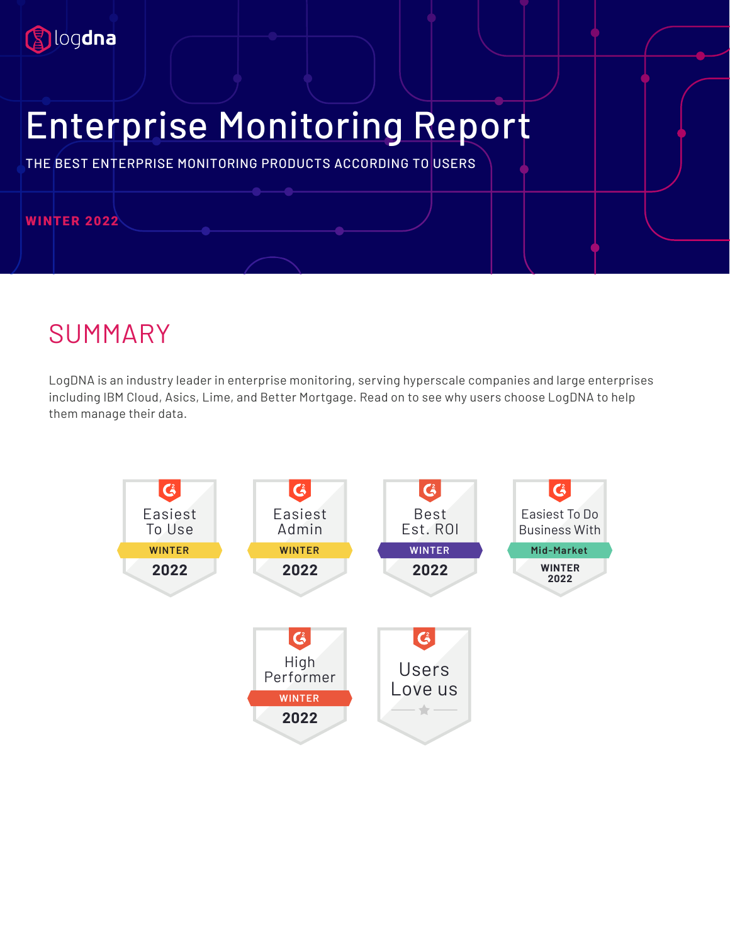

# Enterprise Monitoring Report

THE BEST ENTERPRISE MONITORING PRODUCTS ACCORDING TO USERS

#### **WINTER 2022**

### SUMMARY

LogDNA is an industry leader in enterprise monitoring, serving hyperscale companies and large enterprises including IBM Cloud, Asics, Lime, and Better Mortgage. Read on to see why users choose LogDNA to help them manage their data.

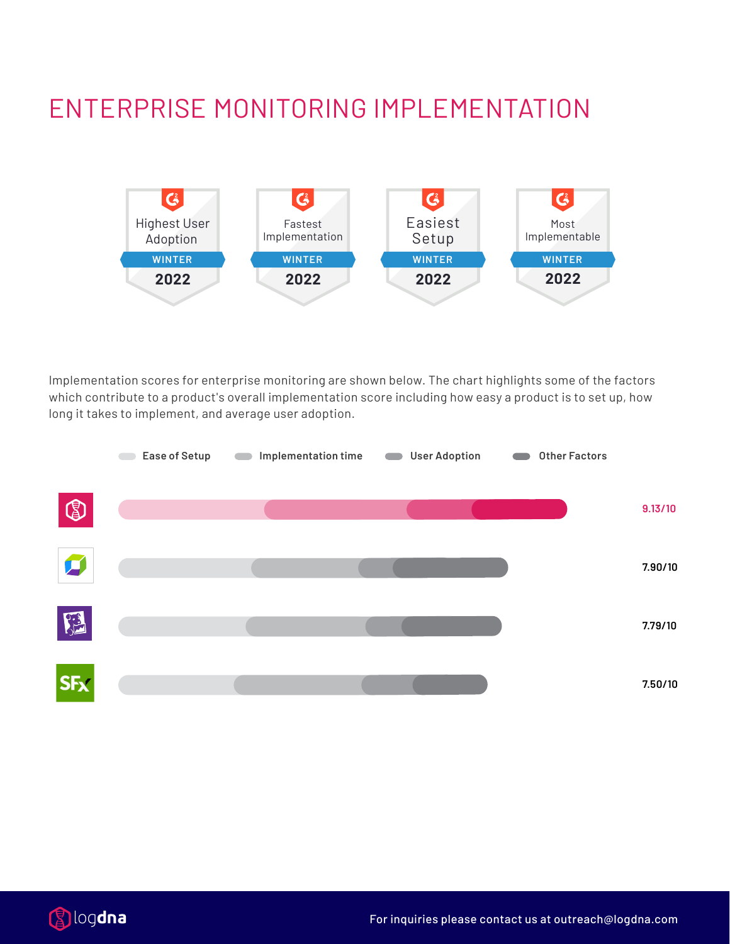## ENTERPRISE MONITORING IMPLEMENTATION



Implementation scores for enterprise monitoring are shown below. The chart highlights some of the factors which contribute to a product's overall implementation score including how easy a product is to set up, how long it takes to implement, and average user adoption.